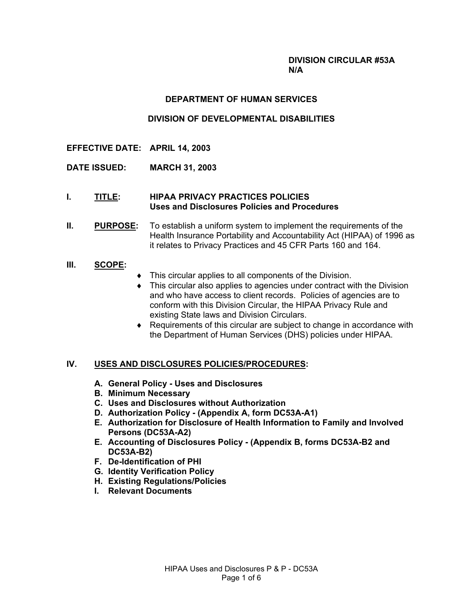#### **DIVISION CIRCULAR #53A N/A**

### **DEPARTMENT OF HUMAN SERVICES**

# **DIVISION OF DEVELOPMENTAL DISABILITIES**

- **EFFECTIVE DATE: APRIL 14, 2003**
- **DATE ISSUED: MARCH 31, 2003**
- **I. TITLE: HIPAA PRIVACY PRACTICES POLICIES Uses and Disclosures Policies and Procedures**
- **II. PURPOSE:** To establish a uniform system to implement the requirements of the Health Insurance Portability and Accountability Act (HIPAA) of 1996 as it relates to Privacy Practices and 45 CFR Parts 160 and 164.

#### **III. SCOPE:**

- ♦ This circular applies to all components of the Division.
- This circular also applies to agencies under contract with the Division and who have access to client records. Policies of agencies are to conform with this Division Circular, the HIPAA Privacy Rule and existing State laws and Division Circulars.
- ♦ Requirements of this circular are subject to change in accordance with the Department of Human Services (DHS) policies under HIPAA.

### **IV. USES AND DISCLOSURES POLICIES/PROCEDURES:**

- **A. General Policy Uses and Disclosures**
- **B. Minimum Necessary**
- **C. Uses and Disclosures without Authorization**
- **D. Authorization Policy (Appendix A, form DC53A-A1)**
- **E. Authorization for Disclosure of Health Information to Family and Involved Persons (DC53A-A2)**
- **E. Accounting of Disclosures Policy (Appendix B, forms DC53A-B2 and DC53A-B2)**
- **F. De-Identification of PHI**
- **G. Identity Verification Policy**
- **H. Existing Regulations/Policies**
- **I. Relevant Documents**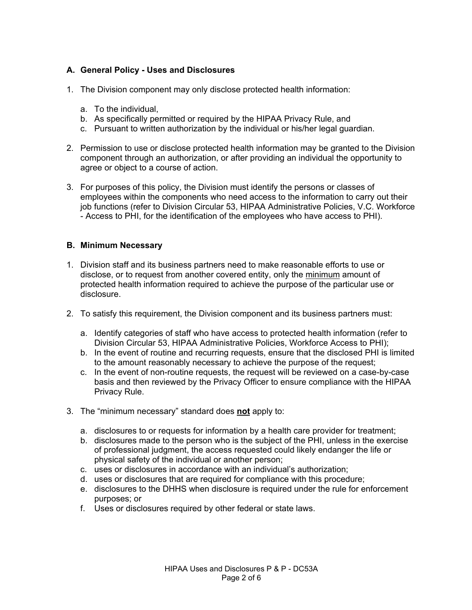# **A. General Policy - Uses and Disclosures**

- 1. The Division component may only disclose protected health information:
	- a. To the individual,
	- b. As specifically permitted or required by the HIPAA Privacy Rule, and
	- c. Pursuant to written authorization by the individual or his/her legal guardian.
- 2. Permission to use or disclose protected health information may be granted to the Division component through an authorization, or after providing an individual the opportunity to agree or object to a course of action.
- 3. For purposes of this policy, the Division must identify the persons or classes of employees within the components who need access to the information to carry out their job functions (refer to Division Circular 53, HIPAA Administrative Policies, V.C. Workforce - Access to PHI, for the identification of the employees who have access to PHI).

### **B. Minimum Necessary**

- 1. Division staff and its business partners need to make reasonable efforts to use or disclose, or to request from another covered entity, only the minimum amount of protected health information required to achieve the purpose of the particular use or disclosure.
- 2. To satisfy this requirement, the Division component and its business partners must:
	- a. Identify categories of staff who have access to protected health information (refer to Division Circular 53, HIPAA Administrative Policies, Workforce Access to PHI);
	- b. In the event of routine and recurring requests, ensure that the disclosed PHI is limited to the amount reasonably necessary to achieve the purpose of the request;
	- c. In the event of non-routine requests, the request will be reviewed on a case-by-case basis and then reviewed by the Privacy Officer to ensure compliance with the HIPAA Privacy Rule.
- 3. The "minimum necessary" standard does **not** apply to:
	- a. disclosures to or requests for information by a health care provider for treatment;
	- b. disclosures made to the person who is the subject of the PHI, unless in the exercise of professional judgment, the access requested could likely endanger the life or physical safety of the individual or another person;
	- c. uses or disclosures in accordance with an individual's authorization:
	- d. uses or disclosures that are required for compliance with this procedure;
	- e. disclosures to the DHHS when disclosure is required under the rule for enforcement purposes; or
	- f. Uses or disclosures required by other federal or state laws.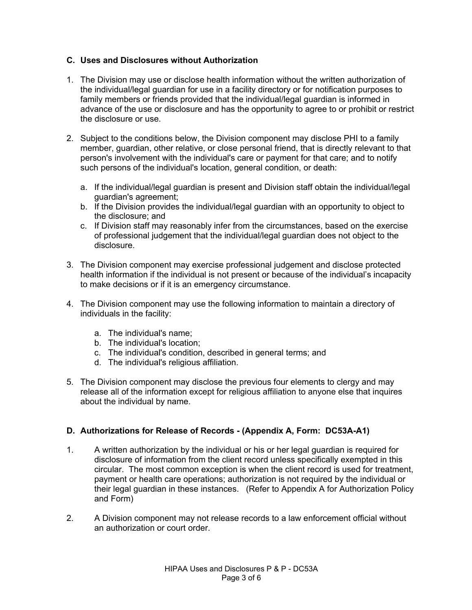# **C. Uses and Disclosures without Authorization**

- 1. The Division may use or disclose health information without the written authorization of the individual/legal guardian for use in a facility directory or for notification purposes to family members or friends provided that the individual/legal guardian is informed in advance of the use or disclosure and has the opportunity to agree to or prohibit or restrict the disclosure or use.
- 2. Subject to the conditions below, the Division component may disclose PHI to a family member, guardian, other relative, or close personal friend, that is directly relevant to that person's involvement with the individual's care or payment for that care; and to notify such persons of the individual's location, general condition, or death:
	- a. If the individual/legal guardian is present and Division staff obtain the individual/legal guardian's agreement;
	- b. If the Division provides the individual/legal guardian with an opportunity to object to the disclosure; and
	- c. If Division staff may reasonably infer from the circumstances, based on the exercise of professional judgement that the individual/legal guardian does not object to the disclosure.
- 3. The Division component may exercise professional judgement and disclose protected health information if the individual is not present or because of the individual's incapacity to make decisions or if it is an emergency circumstance.
- 4. The Division component may use the following information to maintain a directory of individuals in the facility:
	- a. The individual's name;
	- b. The individual's location;
	- c. The individual's condition, described in general terms; and
	- d. The individual's religious affiliation.
- 5. The Division component may disclose the previous four elements to clergy and may release all of the information except for religious affiliation to anyone else that inquires about the individual by name.

# **D. Authorizations for Release of Records - (Appendix A, Form: DC53A-A1)**

- 1. A written authorization by the individual or his or her legal guardian is required for disclosure of information from the client record unless specifically exempted in this circular. The most common exception is when the client record is used for treatment, payment or health care operations; authorization is not required by the individual or their legal guardian in these instances. (Refer to Appendix A for Authorization Policy and Form)
- 2. A Division component may not release records to a law enforcement official without an authorization or court order.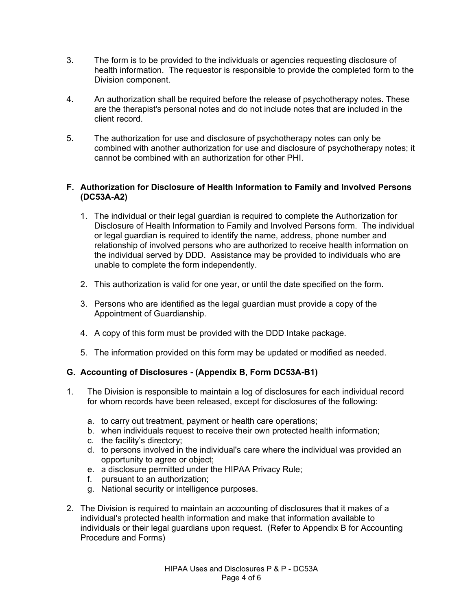- 3. The form is to be provided to the individuals or agencies requesting disclosure of health information. The requestor is responsible to provide the completed form to the Division component.
- 4. An authorization shall be required before the release of psychotherapy notes. These are the therapist's personal notes and do not include notes that are included in the client record.
- 5. The authorization for use and disclosure of psychotherapy notes can only be combined with another authorization for use and disclosure of psychotherapy notes; it cannot be combined with an authorization for other PHI.

# **F. Authorization for Disclosure of Health Information to Family and Involved Persons (DC53A-A2)**

- 1. The individual or their legal guardian is required to complete the Authorization for Disclosure of Health Information to Family and Involved Persons form. The individual or legal guardian is required to identify the name, address, phone number and relationship of involved persons who are authorized to receive health information on the individual served by DDD. Assistance may be provided to individuals who are unable to complete the form independently.
- 2. This authorization is valid for one year, or until the date specified on the form.
- 3. Persons who are identified as the legal guardian must provide a copy of the Appointment of Guardianship.
- 4. A copy of this form must be provided with the DDD Intake package.
- 5. The information provided on this form may be updated or modified as needed.

# **G. Accounting of Disclosures - (Appendix B, Form DC53A-B1)**

- 1. The Division is responsible to maintain a log of disclosures for each individual record for whom records have been released, except for disclosures of the following:
	- a. to carry out treatment, payment or health care operations;
	- b. when individuals request to receive their own protected health information;
	- c. the facility's directory;
	- d. to persons involved in the individual's care where the individual was provided an opportunity to agree or object;
	- e. a disclosure permitted under the HIPAA Privacy Rule;
	- f. pursuant to an authorization;
	- g. National security or intelligence purposes.
- 2. The Division is required to maintain an accounting of disclosures that it makes of a individual's protected health information and make that information available to individuals or their legal guardians upon request. (Refer to Appendix B for Accounting Procedure and Forms)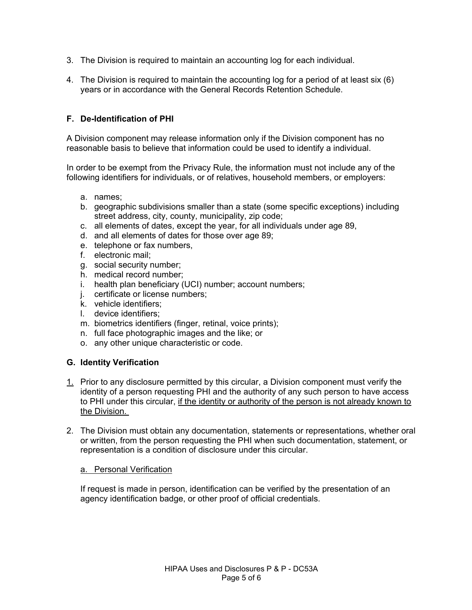- 3. The Division is required to maintain an accounting log for each individual.
- 4. The Division is required to maintain the accounting log for a period of at least six (6) years or in accordance with the General Records Retention Schedule.

# **F. De-Identification of PHI**

A Division component may release information only if the Division component has no reasonable basis to believe that information could be used to identify a individual.

In order to be exempt from the Privacy Rule, the information must not include any of the following identifiers for individuals, or of relatives, household members, or employers:

- a. names;
- b. geographic subdivisions smaller than a state (some specific exceptions) including street address, city, county, municipality, zip code;
- c. all elements of dates, except the year, for all individuals under age 89,
- d. and all elements of dates for those over age 89;
- e. telephone or fax numbers,
- f. electronic mail;
- g. social security number;
- h. medical record number;
- i. health plan beneficiary (UCI) number; account numbers;
- j. certificate or license numbers;
- k. vehicle identifiers;
- l. device identifiers;
- m. biometrics identifiers (finger, retinal, voice prints);
- n. full face photographic images and the like; or
- o. any other unique characteristic or code.

### **G. Identity Verification**

- 1. Prior to any disclosure permitted by this circular, a Division component must verify the identity of a person requesting PHI and the authority of any such person to have access to PHI under this circular, if the identity or authority of the person is not already known to the Division.
- 2. The Division must obtain any documentation, statements or representations, whether oral or written, from the person requesting the PHI when such documentation, statement, or representation is a condition of disclosure under this circular.

#### a. Personal Verification

If request is made in person, identification can be verified by the presentation of an agency identification badge, or other proof of official credentials.